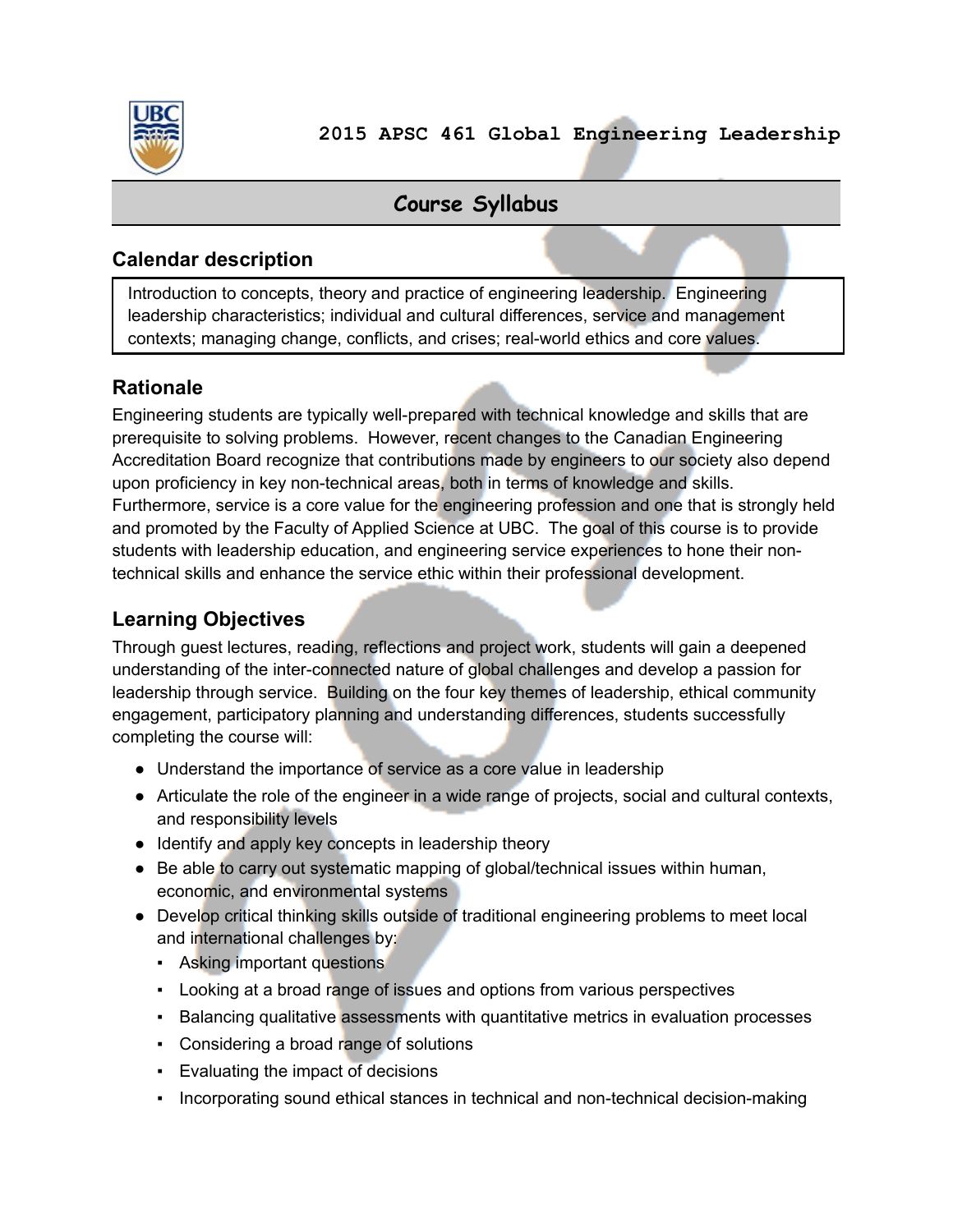

**2015 APSC 461 Global Engineering Leadership**

## **Course Syllabus**

#### **Calendar description**

Introduction to concepts, theory and practice of engineering leadership. Engineering leadership characteristics; individual and cultural differences, service and management contexts; managing change, conflicts, and crises; real-world ethics and core values.

#### **Rationale**

Engineering students are typically well-prepared with technical knowledge and skills that are prerequisite to solving problems. However, recent changes to the Canadian Engineering Accreditation Board recognize that contributions made by engineers to our society also depend upon proficiency in key non-technical areas, both in terms of knowledge and skills. Furthermore, service is a core value for the engineering profession and one that is strongly held and promoted by the Faculty of Applied Science at UBC. The goal of this course is to provide students with leadership education, and engineering service experiences to hone their nontechnical skills and enhance the service ethic within their professional development.

## **Learning Objectives**

Through guest lectures, reading, reflections and project work, students will gain a deepened understanding of the inter-connected nature of global challenges and develop a passion for leadership through service. Building on the four key themes of leadership, ethical community engagement, participatory planning and understanding differences, students successfully completing the course will:

- Understand the importance of service as a core value in leadership
- Articulate the role of the engineer in a wide range of projects, social and cultural contexts, and responsibility levels
- Identify and apply key concepts in leadership theory
- Be able to carry out systematic mapping of global/technical issues within human, economic, and environmental systems
- Develop critical thinking skills outside of traditional engineering problems to meet local and international challenges by:
	- Asking important questions
	- **Looking at a broad range of issues and options from various perspectives**
	- **Balancing qualitative assessments with quantitative metrics in evaluation processes**
	- Considering a broad range of solutions
	- **Evaluating the impact of decisions**
	- Incorporating sound ethical stances in technical and non-technical decision-making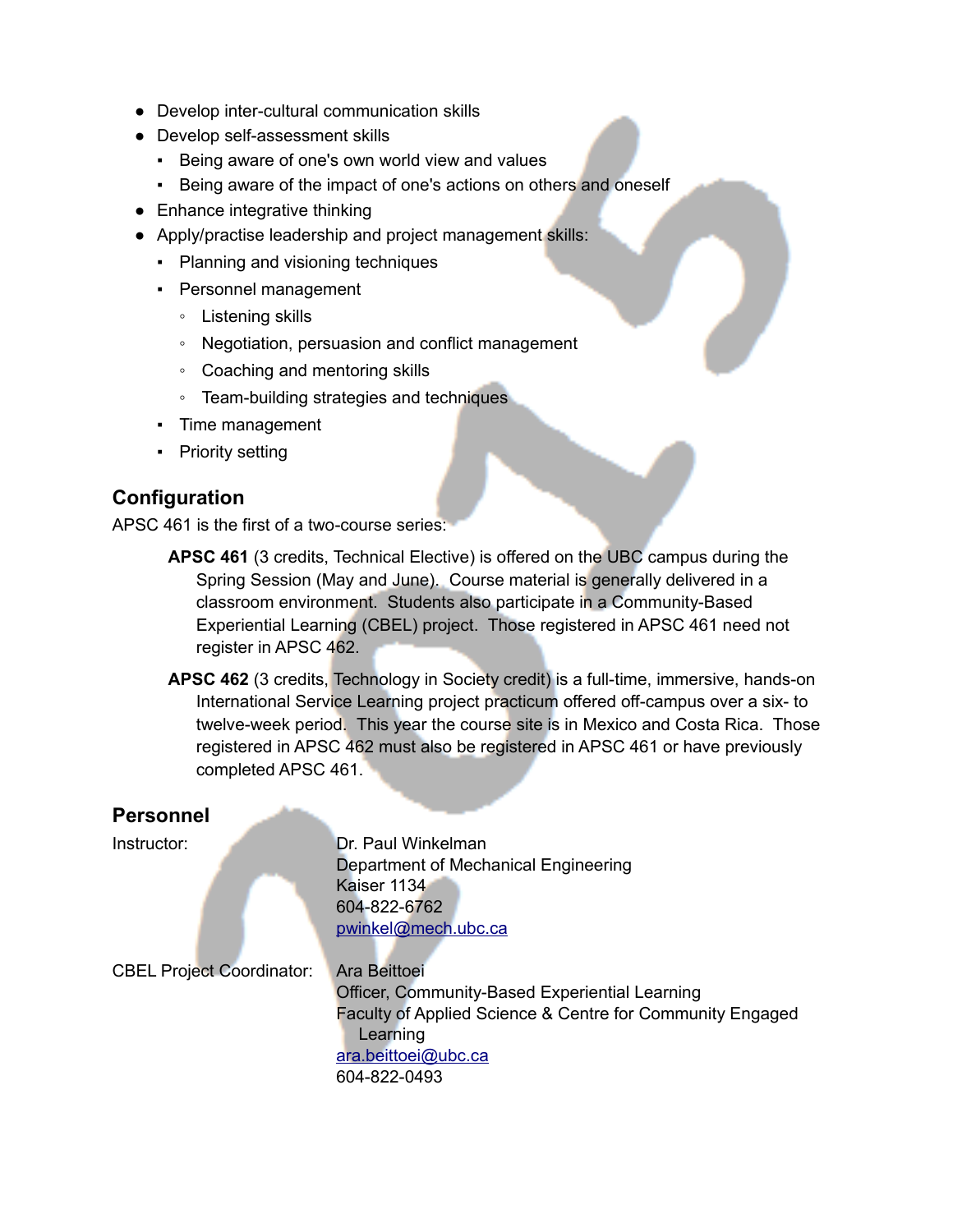- Develop inter-cultural communication skills
- Develop self-assessment skills
	- Being aware of one's own world view and values
	- Being aware of the impact of one's actions on others and oneself
- Enhance integrative thinking
- Apply/practise leadership and project management skills:
	- Planning and visioning techniques
	- Personnel management
		- Listening skills
		- Negotiation, persuasion and conflict management
		- Coaching and mentoring skills
		- Team-building strategies and techniques
	- Time management
	- Priority setting

#### **Configuration**

APSC 461 is the first of a two-course series:

- **APSC 461** (3 credits, Technical Elective) is offered on the UBC campus during the Spring Session (May and June). Course material is generally delivered in a classroom environment. Students also participate in a Community-Based Experiential Learning (CBEL) project. Those registered in APSC 461 need not register in APSC 462.
- **APSC 462** (3 credits, Technology in Society credit) is a full-time, immersive, hands-on International Service Learning project practicum offered off-campus over a six- to twelve-week period. This year the course site is in Mexico and Costa Rica. Those registered in APSC 462 must also be registered in APSC 461 or have previously completed APSC 461.

#### **Personnel**

Instructor: Dr. Paul Winkelman Department of Mechanical Engineering Kaiser 1134 604-822-6762 pwinkel@mech.ubc.ca

CBEL Project Coordinator: Ara Beittoei

Officer, Community-Based Experiential Learning Faculty of Applied Science & Centre for Community Engaged Learning [ara.beittoei@ubc.ca](mailto:ara.beittoei@ubc.ca) 604-822-0493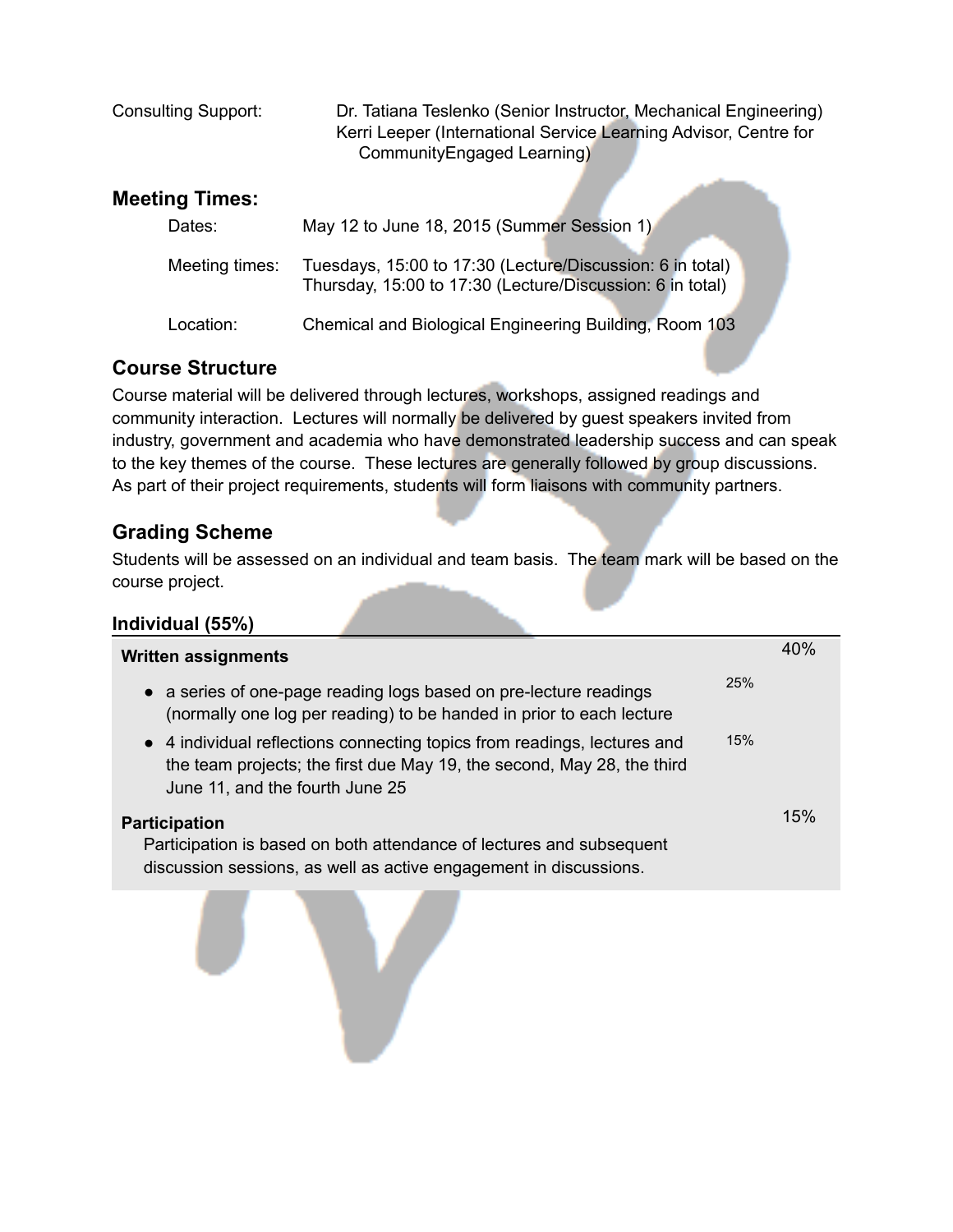| <b>Consulting Support:</b> | Dr. Tatiana Teslenko (Senior Instructor, Mechanical Engineering) |
|----------------------------|------------------------------------------------------------------|
|                            | Kerri Leeper (International Service Learning Advisor, Centre for |
|                            | Community Engaged Learning)                                      |
|                            |                                                                  |

#### **Meeting Times:**

| Dates:         | May 12 to June 18, 2015 (Summer Session 1)                                                                             |  |
|----------------|------------------------------------------------------------------------------------------------------------------------|--|
| Meeting times: | Tuesdays, 15:00 to 17:30 (Lecture/Discussion: 6 in total)<br>Thursday, 15:00 to 17:30 (Lecture/Discussion: 6 in total) |  |
| Location:      | Chemical and Biological Engineering Building, Room 103                                                                 |  |

## **Course Structure**

Course material will be delivered through lectures, workshops, assigned readings and community interaction. Lectures will normally be delivered by guest speakers invited from industry, government and academia who have demonstrated leadership success and can speak to the key themes of the course. These lectures are generally followed by group discussions. As part of their project requirements, students will form liaisons with community partners.

### **Grading Scheme**

Students will be assessed on an individual and team basis. The team mark will be based on the course project.

| Individual (55%)                                                                                                                                                                      |     |     |
|---------------------------------------------------------------------------------------------------------------------------------------------------------------------------------------|-----|-----|
| <b>Written assignments</b>                                                                                                                                                            |     | 40% |
| • a series of one-page reading logs based on pre-lecture readings<br>(normally one log per reading) to be handed in prior to each lecture                                             | 25% |     |
| • 4 individual reflections connecting topics from readings, lectures and<br>the team projects; the first due May 19, the second, May 28, the third<br>June 11, and the fourth June 25 | 15% |     |
| <b>Participation</b>                                                                                                                                                                  |     | 15% |
| Participation is based on both attendance of lectures and subsequent<br>discussion sessions, as well as active engagement in discussions.                                             |     |     |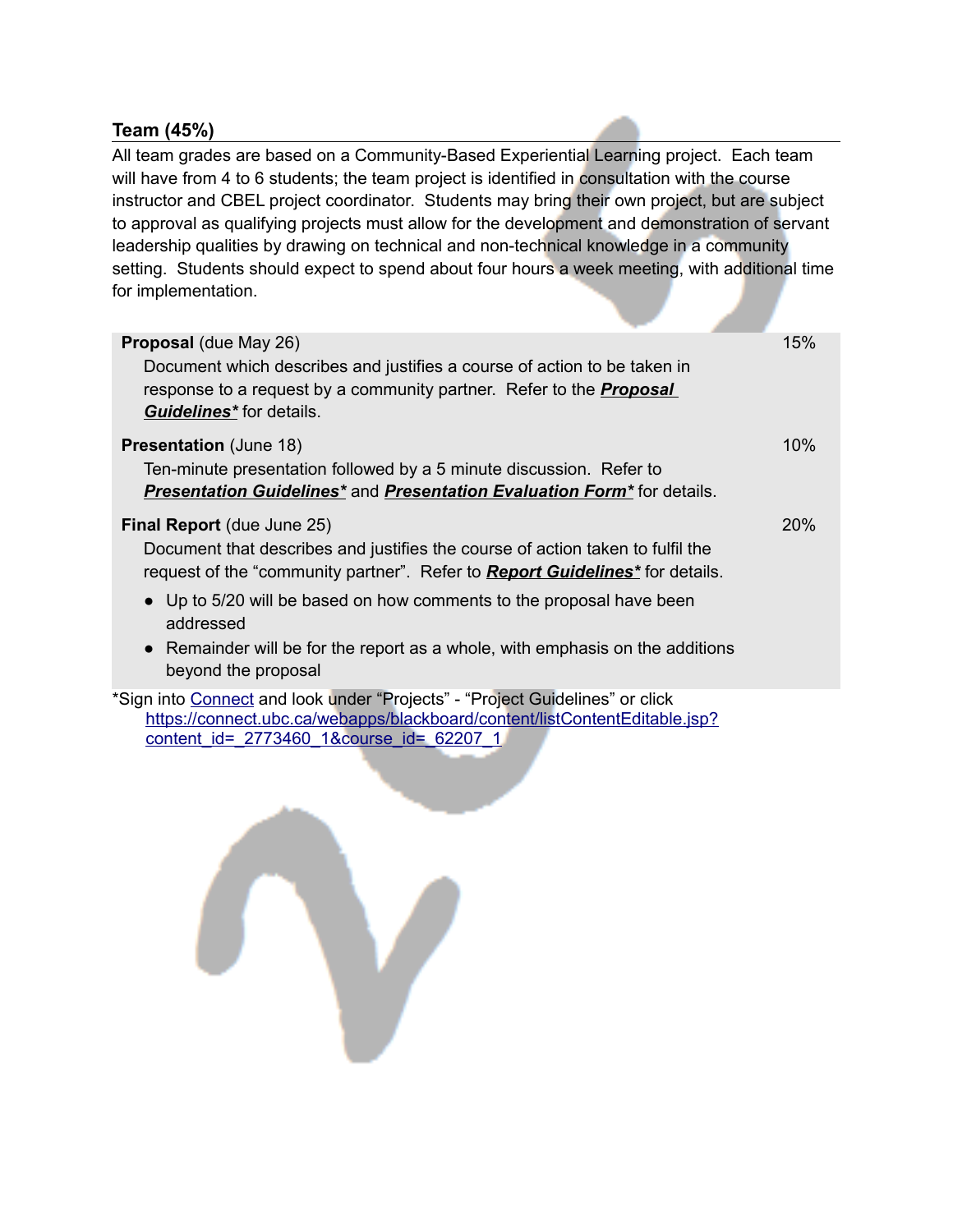#### **Team (45%)**

All team grades are based on a Community-Based Experiential Learning project. Each team will have from 4 to 6 students; the team project is identified in consultation with the course instructor and CBEL project coordinator. Students may bring their own project, but are subject to approval as qualifying projects must allow for the development and demonstration of servant leadership qualities by drawing on technical and non-technical knowledge in a community setting. Students should expect to spend about four hours a week meeting, with additional time for implementation.

| Proposal (due May 26)<br>Document which describes and justifies a course of action to be taken in<br>response to a request by a community partner. Refer to the <b>Proposal</b><br><b>Guidelines*</b> for details. | 15% |
|--------------------------------------------------------------------------------------------------------------------------------------------------------------------------------------------------------------------|-----|
| <b>Presentation (June 18)</b><br>Ten-minute presentation followed by a 5 minute discussion. Refer to<br><b>Presentation Guidelines* and Presentation Evaluation Form*</b> for details.                             | 10% |
| <b>Final Report</b> (due June 25)<br>Document that describes and justifies the course of action taken to fulfil the<br>request of the "community partner". Refer to <b>Report Guidelines</b> * for details.        | 20% |
| • Up to 5/20 will be based on how comments to the proposal have been<br>addressed<br>• Remainder will be for the report as a whole, with emphasis on the additions<br>beyond the proposal                          |     |
| *Sign into Connect and look under "Projects" - "Project Guidelines" or click<br>https://connect.ubc.ca/webapps/blackboard/content/listContentEditable.jsp?                                                         |     |

[content\\_id=\\_2773460\\_1&course\\_id=\\_62207\\_1](https://connect.ubc.ca/webapps/blackboard/content/listContentEditable.jsp?content_id=_2773460_1&course_id=_62207_1)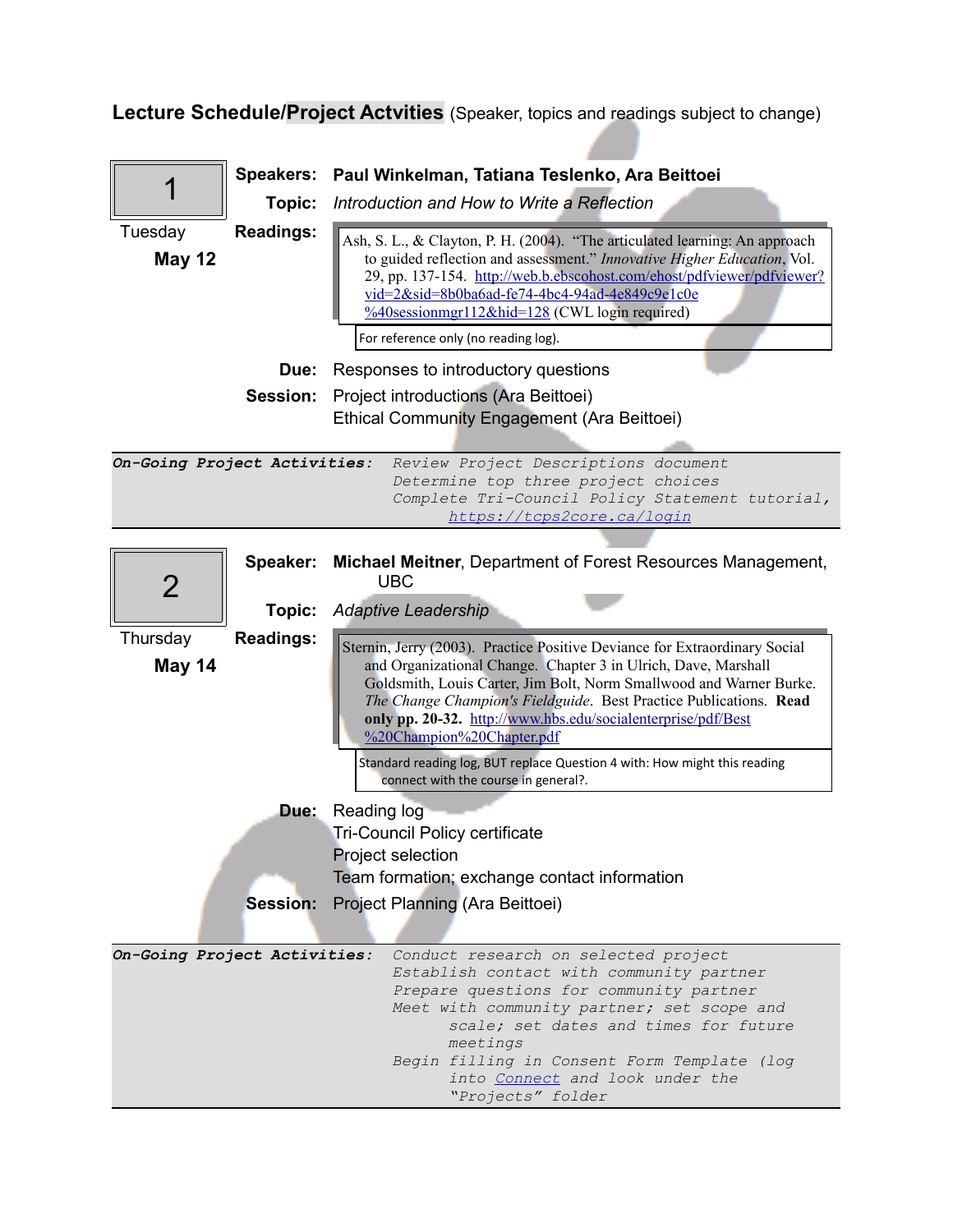**Lecture Schedule/Project Actvities** (Speaker, topics and readings subject to change)

|                              | <b>Speakers:</b> | Paul Winkelman, Tatiana Teslenko, Ara Beittoei                                                                                                                                                                                                                                                                                                                                                |
|------------------------------|------------------|-----------------------------------------------------------------------------------------------------------------------------------------------------------------------------------------------------------------------------------------------------------------------------------------------------------------------------------------------------------------------------------------------|
|                              | Topic:           | Introduction and How to Write a Reflection                                                                                                                                                                                                                                                                                                                                                    |
| Tuesday<br><b>May 12</b>     | <b>Readings:</b> | Ash, S. L., & Clayton, P. H. (2004). "The articulated learning: An approach<br>to guided reflection and assessment." Innovative Higher Education, Vol.<br>29, pp. 137-154. http://web.b.ebscohost.com/ehost/pdfviewer/pdfviewer?<br>vid=2&sid=8b0ba6ad-fe74-4bc4-94ad-4e849c9e1c0e<br>$\frac{\%40s}{\%40s}$ essionmgr112&hid=128 (CWL login required)<br>For reference only (no reading log). |
|                              | Due:             | Responses to introductory questions                                                                                                                                                                                                                                                                                                                                                           |
|                              | Session:         | Project introductions (Ara Beittoei)<br>Ethical Community Engagement (Ara Beittoei)                                                                                                                                                                                                                                                                                                           |
| On-Going Project Activities: |                  | Review Project Descriptions document<br>Determine top three project choices<br>Complete Tri-Council Policy Statement tutorial,<br>https://tcps2core.ca/login                                                                                                                                                                                                                                  |
| 2                            | Speaker:         | <b>Michael Meitner, Department of Forest Resources Management,</b><br><b>UBC</b>                                                                                                                                                                                                                                                                                                              |
|                              | Topic:           | <b>Adaptive Leadership</b>                                                                                                                                                                                                                                                                                                                                                                    |
| Thursday<br>May 14           | <b>Readings:</b> | Sternin, Jerry (2003). Practice Positive Deviance for Extraordinary Social<br>and Organizational Change. Chapter 3 in Ulrich, Dave, Marshall<br>Goldsmith, Louis Carter, Jim Bolt, Norm Smallwood and Warner Burke.<br>The Change Champion's Fieldguide. Best Practice Publications. Read<br>only pp. 20-32. http://www.hbs.edu/socialenterprise/pdf/Best<br>%20Champion%20Chapter.pdf        |
|                              |                  | Standard reading log, BUT replace Question 4 with: How might this reading<br>connect with the course in general?.                                                                                                                                                                                                                                                                             |
|                              | Due:             | Reading log<br><b>Tri-Council Policy certificate</b><br>Project selection<br>Team formation; exchange contact information                                                                                                                                                                                                                                                                     |
|                              |                  | <b>Session:</b> Project Planning (Ara Beittoei)                                                                                                                                                                                                                                                                                                                                               |
| On-Going Project Activities: |                  | Conduct research on selected project<br>Establish contact with community partner<br>Prepare questions for community partner<br>Meet with community partner; set scope and<br>scale; set dates and times for future<br>meetings<br>Begin filling in Consent Form Template (log<br>into Connect and look under the<br>"Projects" folder                                                         |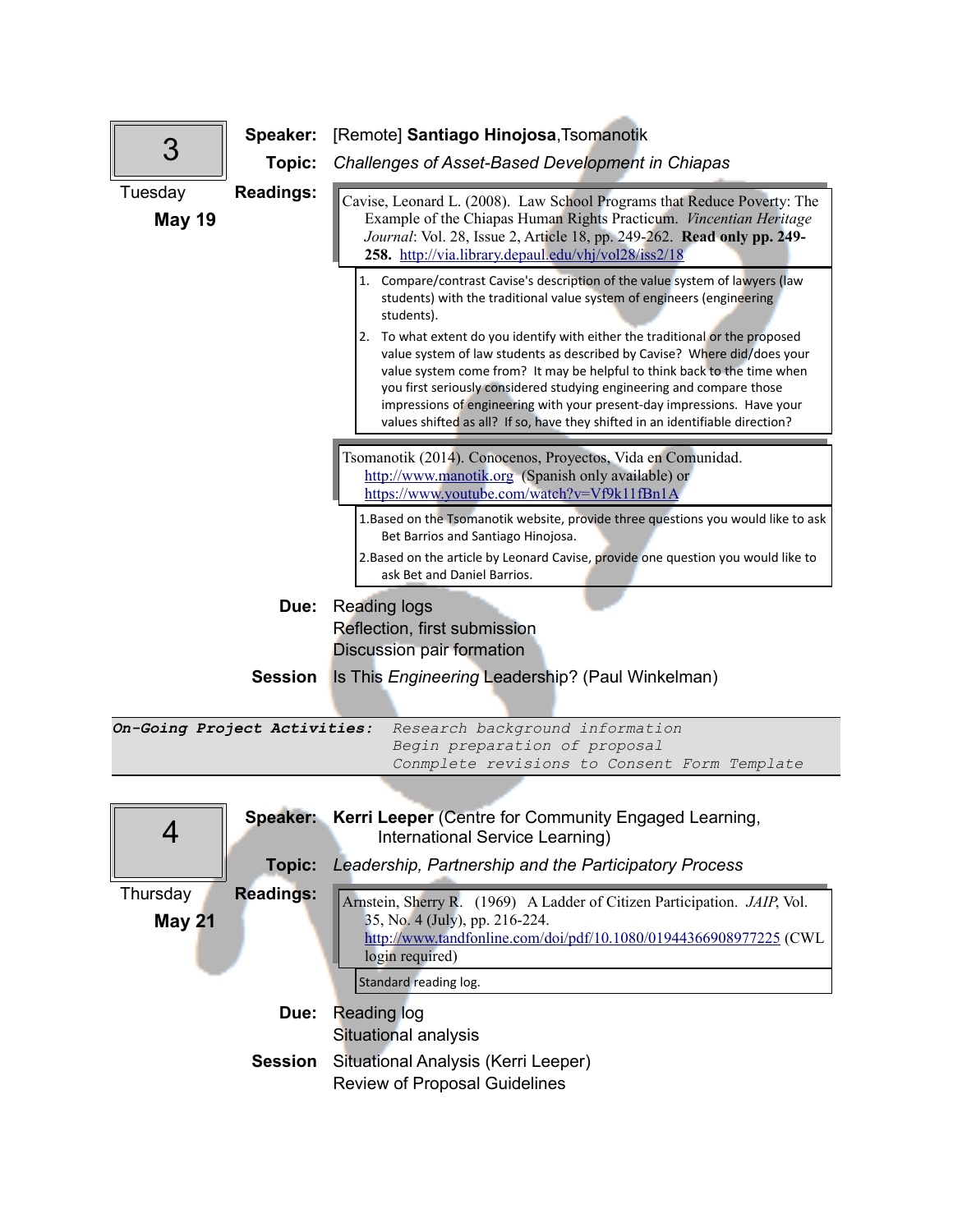| З                            | Speaker:<br>Topic: | [Remote] Santiago Hinojosa, Tsomanotik<br>Challenges of Asset-Based Development in Chiapas                                                                                                                                                                                                                                                                                                                                                                                 |
|------------------------------|--------------------|----------------------------------------------------------------------------------------------------------------------------------------------------------------------------------------------------------------------------------------------------------------------------------------------------------------------------------------------------------------------------------------------------------------------------------------------------------------------------|
| Tuesday<br><b>May 19</b>     | <b>Readings:</b>   | Cavise, Leonard L. (2008). Law School Programs that Reduce Poverty: The<br>Example of the Chiapas Human Rights Practicum. Vincentian Heritage<br>Journal: Vol. 28, Issue 2, Article 18, pp. 249-262. Read only pp. 249-<br>258. http://via.library.depaul.edu/vhj/vol28/iss2/18                                                                                                                                                                                            |
|                              |                    | 1. Compare/contrast Cavise's description of the value system of lawyers (law<br>students) with the traditional value system of engineers (engineering<br>students).                                                                                                                                                                                                                                                                                                        |
|                              |                    | 2. To what extent do you identify with either the traditional or the proposed<br>value system of law students as described by Cavise? Where did/does your<br>value system come from? It may be helpful to think back to the time when<br>you first seriously considered studying engineering and compare those<br>impressions of engineering with your present-day impressions. Have your<br>values shifted as all? If so, have they shifted in an identifiable direction? |
|                              |                    |                                                                                                                                                                                                                                                                                                                                                                                                                                                                            |
|                              |                    | Tsomanotik (2014). Conocenos, Proyectos, Vida en Comunidad.<br>http://www.manotik.org (Spanish only available) or<br>https://www.youtube.com/watch?v=Vf9k11fBn1A                                                                                                                                                                                                                                                                                                           |
|                              |                    | 1. Based on the Tsomanotik website, provide three questions you would like to ask<br>Bet Barrios and Santiago Hinojosa.                                                                                                                                                                                                                                                                                                                                                    |
|                              |                    | 2. Based on the article by Leonard Cavise, provide one question you would like to<br>ask Bet and Daniel Barrios.                                                                                                                                                                                                                                                                                                                                                           |
|                              | Due:               | <b>Reading logs</b>                                                                                                                                                                                                                                                                                                                                                                                                                                                        |
|                              |                    | Reflection, first submission                                                                                                                                                                                                                                                                                                                                                                                                                                               |
|                              |                    | <b>Discussion pair formation</b>                                                                                                                                                                                                                                                                                                                                                                                                                                           |
|                              | <b>Session</b>     | Is This Engineering Leadership? (Paul Winkelman)                                                                                                                                                                                                                                                                                                                                                                                                                           |
|                              |                    |                                                                                                                                                                                                                                                                                                                                                                                                                                                                            |
| On-Going Project Activities: |                    | Research background information                                                                                                                                                                                                                                                                                                                                                                                                                                            |
|                              |                    | Begin preparation of proposal<br>Conmplete revisions to Consent Form Template                                                                                                                                                                                                                                                                                                                                                                                              |
|                              |                    |                                                                                                                                                                                                                                                                                                                                                                                                                                                                            |
|                              |                    | Speaker: Kerri Leeper (Centre for Community Engaged Learning,                                                                                                                                                                                                                                                                                                                                                                                                              |

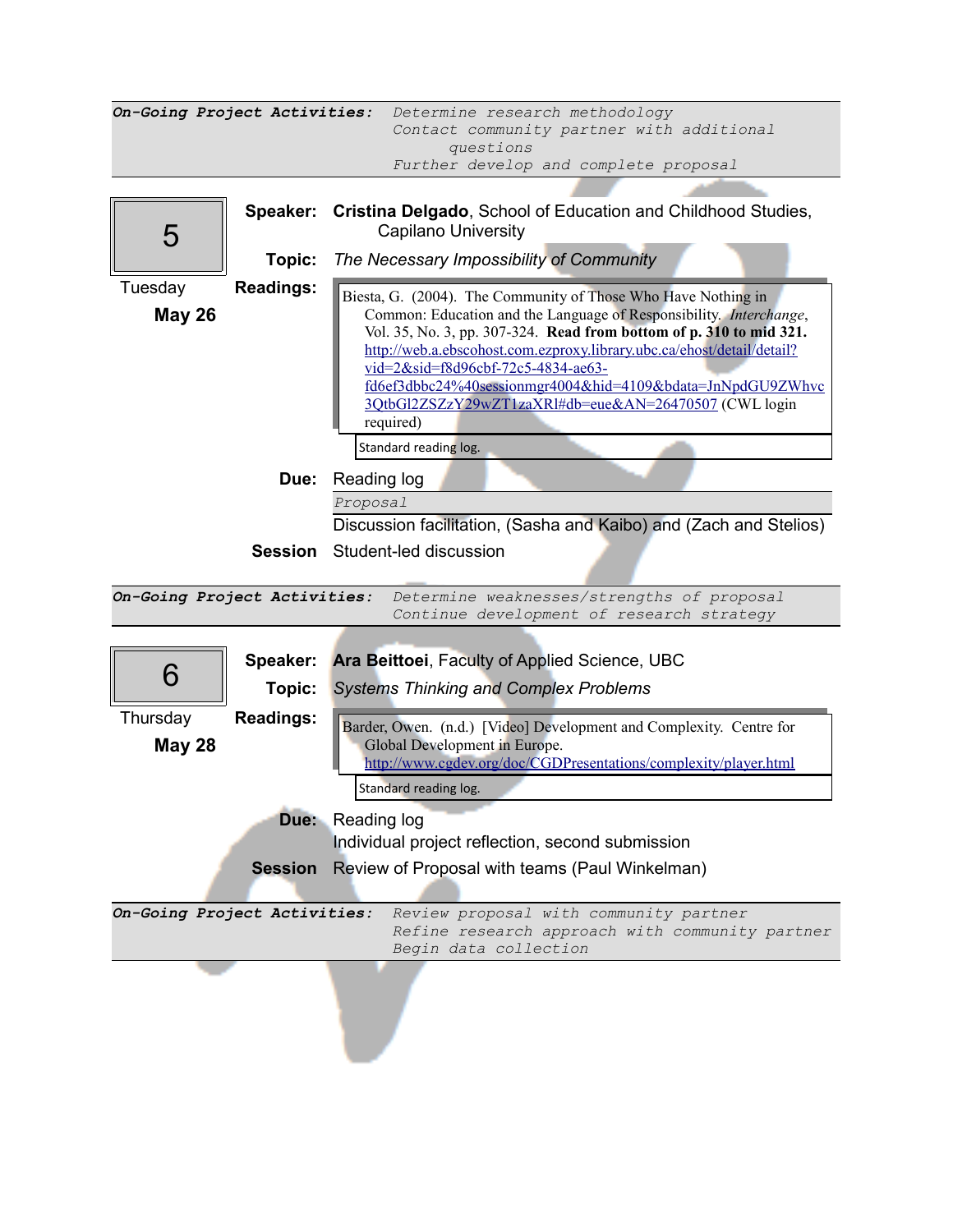| On-Going Project Activities: |                  | Determine research methodology<br>Contact community partner with additional                                                                   |
|------------------------------|------------------|-----------------------------------------------------------------------------------------------------------------------------------------------|
|                              |                  | questions                                                                                                                                     |
|                              |                  | Further develop and complete proposal                                                                                                         |
|                              | Speaker:         | Cristina Delgado, School of Education and Childhood Studies,                                                                                  |
| 5                            |                  | <b>Capilano University</b>                                                                                                                    |
|                              | Topic:           | The Necessary Impossibility of Community                                                                                                      |
| Tuesday                      | <b>Readings:</b> | Biesta, G. (2004). The Community of Those Who Have Nothing in                                                                                 |
| <b>May 26</b>                |                  | Common: Education and the Language of Responsibility. <i>Interchange</i> ,                                                                    |
|                              |                  | Vol. 35, No. 3, pp. 307-324. Read from bottom of p. 310 to mid 321.<br>http://web.a.ebscohost.com.ezproxy.library.ubc.ca/ehost/detail/detail? |
|                              |                  | vid=2&sid=f8d96cbf-72c5-4834-ae63-                                                                                                            |
|                              |                  | fd6ef3dbbc24%40sessionmgr4004&hid=4109&bdata=JnNpdGU9ZWhvc<br>3OtbGl2ZSZzY29wZT1zaXRl#db=eue&AN=26470507 (CWL login                           |
|                              |                  | required)                                                                                                                                     |
|                              |                  | Standard reading log.                                                                                                                         |
|                              | Due:             | Reading log                                                                                                                                   |
|                              |                  | Proposal                                                                                                                                      |
|                              |                  | Discussion facilitation, (Sasha and Kaibo) and (Zach and Stelios)                                                                             |
|                              | <b>Session</b>   | Student-led discussion                                                                                                                        |
|                              |                  |                                                                                                                                               |
| On-Going Project Activities: |                  | Determine weaknesses/strengths of proposal<br>Continue development of research strategy                                                       |
|                              |                  |                                                                                                                                               |
|                              | Speaker:         | Ara Beittoei, Faculty of Applied Science, UBC                                                                                                 |
| 6                            | Topic:           | <b>Systems Thinking and Complex Problems</b>                                                                                                  |
| Thursday                     | <b>Readings:</b> |                                                                                                                                               |
| <b>May 28</b>                |                  | Barder, Owen. (n.d.) [Video] Development and Complexity. Centre for<br>Global Development in Europe.                                          |
|                              |                  | http://www.cgdev.org/doc/CGDPresentations/complexity/player.html                                                                              |
|                              |                  | Standard reading log.                                                                                                                         |
|                              |                  | Due: Reading log                                                                                                                              |
|                              |                  | Individual project reflection, second submission                                                                                              |
|                              | Session          | Review of Proposal with teams (Paul Winkelman)                                                                                                |
| On-Going Project Activities: |                  | Review proposal with community partner                                                                                                        |
|                              |                  | Refine research approach with community partner<br>Begin data collection                                                                      |
|                              |                  |                                                                                                                                               |
|                              |                  |                                                                                                                                               |
|                              |                  |                                                                                                                                               |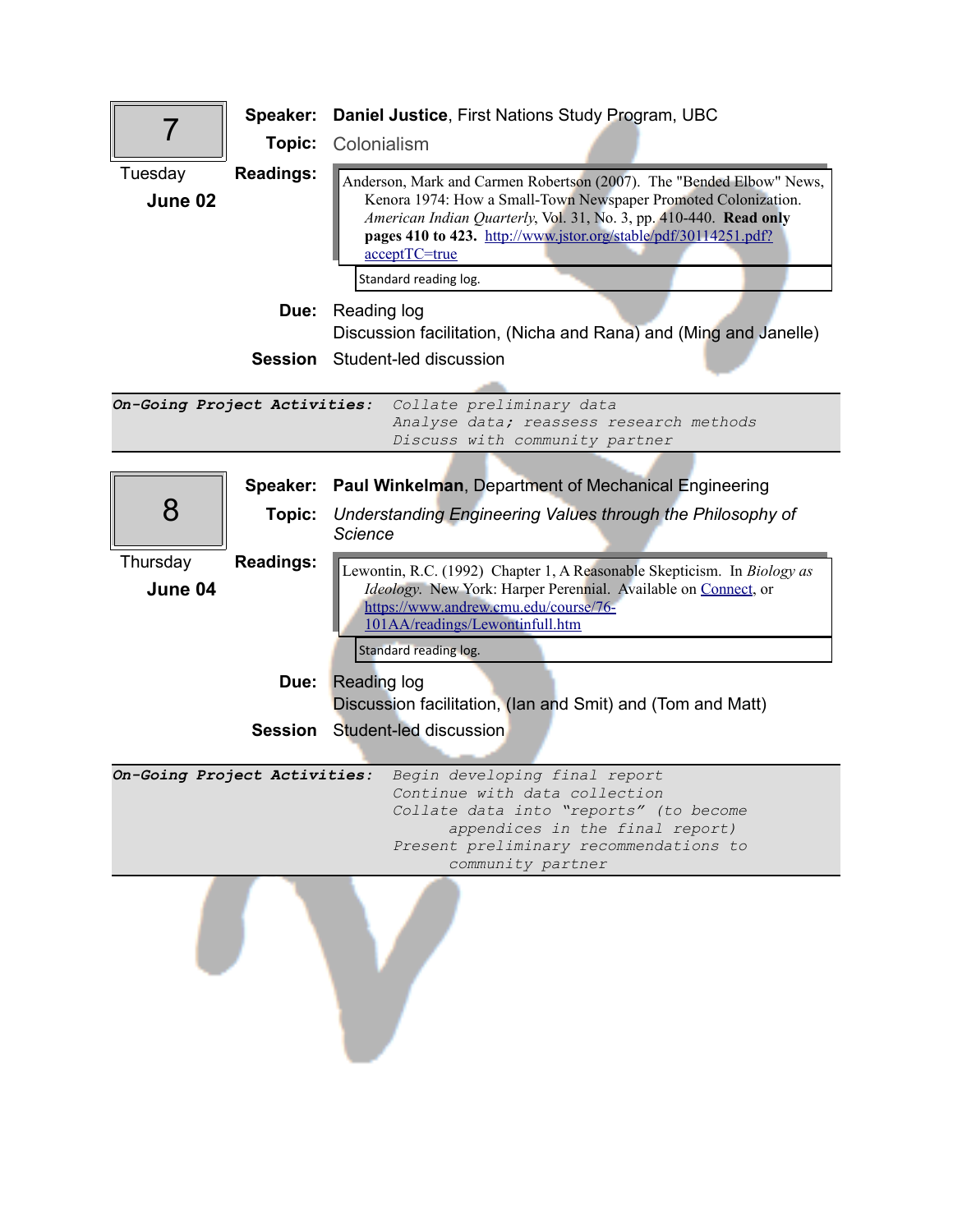| 7                            | Speaker:<br>Topic: | Daniel Justice, First Nations Study Program, UBC<br>Colonialism                                                                                                                                                                                                                                                          |
|------------------------------|--------------------|--------------------------------------------------------------------------------------------------------------------------------------------------------------------------------------------------------------------------------------------------------------------------------------------------------------------------|
| Tuesday<br>June 02           | <b>Readings:</b>   | Anderson, Mark and Carmen Robertson (2007). The "Bended Elbow" News,<br>Kenora 1974: How a Small-Town Newspaper Promoted Colonization.<br>American Indian Quarterly, Vol. 31, No. 3, pp. 410-440. Read only<br>pages 410 to 423. http://www.jstor.org/stable/pdf/30114251.pdf?<br>acceptTC=true<br>Standard reading log. |
|                              | Due:               | Reading log<br>Discussion facilitation, (Nicha and Rana) and (Ming and Janelle)                                                                                                                                                                                                                                          |
|                              |                    | <b>Session</b> Student-led discussion                                                                                                                                                                                                                                                                                    |
| On-Going Project Activities: |                    | Collate preliminary data<br>Analyse data; reassess research methods<br>Discuss with community partner                                                                                                                                                                                                                    |
|                              | Speaker:           | <b>Paul Winkelman, Department of Mechanical Engineering</b>                                                                                                                                                                                                                                                              |
| 8                            | Topic:             | Understanding Engineering Values through the Philosophy of                                                                                                                                                                                                                                                               |
|                              |                    | Science                                                                                                                                                                                                                                                                                                                  |
| Thursday<br>June 04          | <b>Readings:</b>   | Lewontin, R.C. (1992) Chapter 1, A Reasonable Skepticism. In Biology as<br>Ideology. New York: Harper Perennial. Available on Connect, or<br>https://www.andrew.cmu.edu/course/76-<br>101AA/readings/Lewontinfull.htm<br>Standard reading log.                                                                           |
|                              | Due:               | <b>Reading log</b>                                                                                                                                                                                                                                                                                                       |
|                              | <b>Session</b>     | Discussion facilitation, (Ian and Smit) and (Tom and Matt)<br>Student-led discussion                                                                                                                                                                                                                                     |
|                              |                    |                                                                                                                                                                                                                                                                                                                          |
| On-Going Project Activities: |                    | Begin developing final report<br>Continue with data collection<br>Collate data into "reports" (to become<br>appendices in the final report)<br>Present preliminary recommendations to<br>community partner                                                                                                               |
|                              |                    |                                                                                                                                                                                                                                                                                                                          |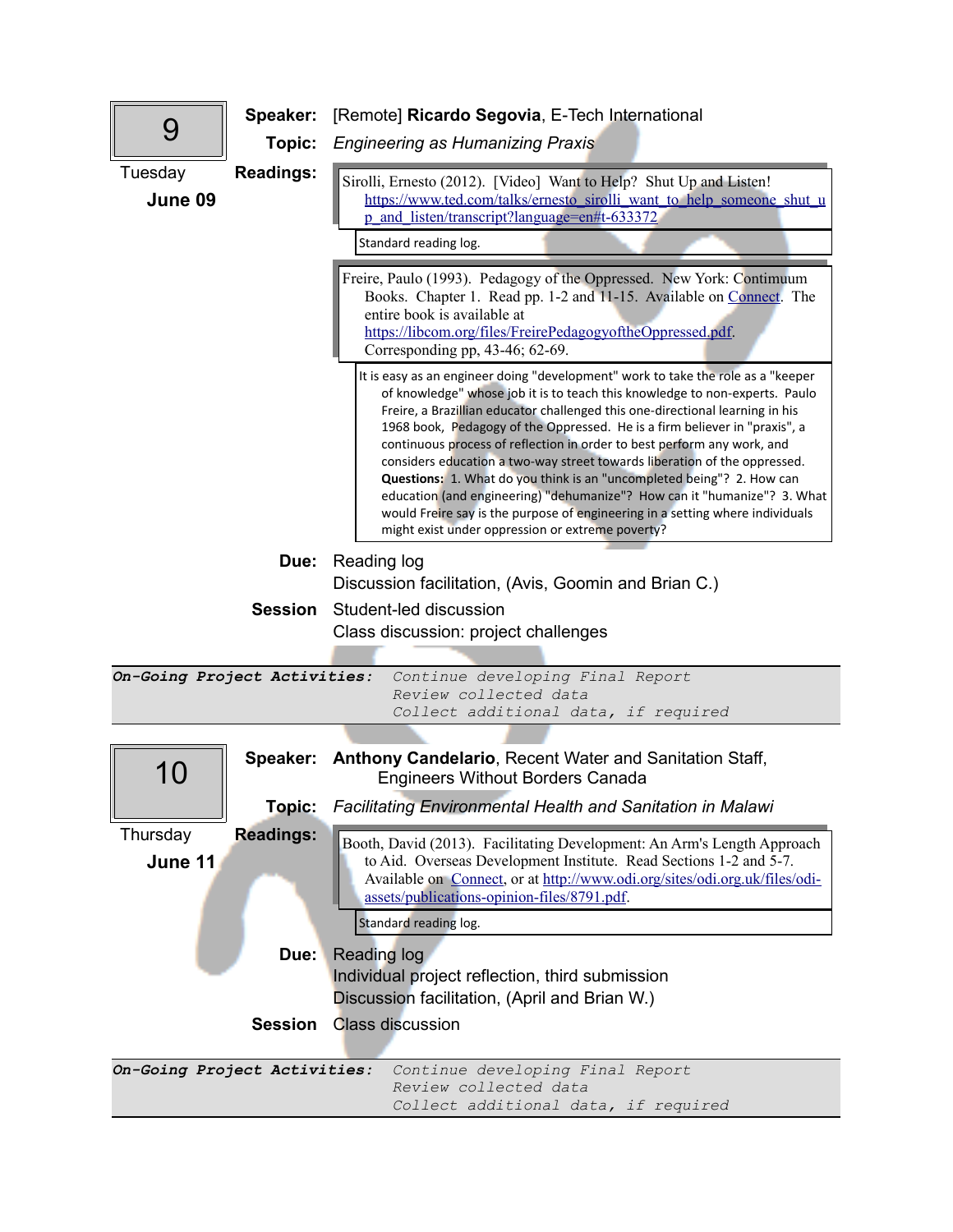|                              | Speaker:         | [Remote] Ricardo Segovia, E-Tech International                                                                                                                                                                                                                                                                                                                                                                                                                                                                                                                                                                                                                                                                                                                                   |
|------------------------------|------------------|----------------------------------------------------------------------------------------------------------------------------------------------------------------------------------------------------------------------------------------------------------------------------------------------------------------------------------------------------------------------------------------------------------------------------------------------------------------------------------------------------------------------------------------------------------------------------------------------------------------------------------------------------------------------------------------------------------------------------------------------------------------------------------|
| 9                            | Topic:           | <b>Engineering as Humanizing Praxis</b>                                                                                                                                                                                                                                                                                                                                                                                                                                                                                                                                                                                                                                                                                                                                          |
| Tuesday<br>June 09           | <b>Readings:</b> | Sirolli, Ernesto (2012). [Video] Want to Help? Shut Up and Listen!<br>https://www.ted.com/talks/ernesto sirolli want to help someone shut u<br>p and listen/transcript?language=en#t-633372<br>Standard reading log.<br>Freire, Paulo (1993). Pedagogy of the Oppressed. New York: Contimuum<br>Books. Chapter 1. Read pp. 1-2 and 11-15. Available on Connect. The                                                                                                                                                                                                                                                                                                                                                                                                              |
|                              |                  | entire book is available at<br>https://libcom.org/files/FreirePedagogyoftheOppressed.pdf.<br>Corresponding pp, $43-46$ ; $62-69$ .                                                                                                                                                                                                                                                                                                                                                                                                                                                                                                                                                                                                                                               |
|                              |                  | It is easy as an engineer doing "development" work to take the role as a "keeper<br>of knowledge" whose job it is to teach this knowledge to non-experts. Paulo<br>Freire, a Brazillian educator challenged this one-directional learning in his<br>1968 book, Pedagogy of the Oppressed. He is a firm believer in "praxis", a<br>continuous process of reflection in order to best perform any work, and<br>considers education a two-way street towards liberation of the oppressed.<br>Questions: 1. What do you think is an "uncompleted being"? 2. How can<br>education (and engineering) "dehumanize"? How can it "humanize"? 3. What<br>would Freire say is the purpose of engineering in a setting where individuals<br>might exist under oppression or extreme poverty? |
|                              | Due:             | Reading log                                                                                                                                                                                                                                                                                                                                                                                                                                                                                                                                                                                                                                                                                                                                                                      |
|                              | <b>Session</b>   | Discussion facilitation, (Avis, Goomin and Brian C.)<br>Student-led discussion                                                                                                                                                                                                                                                                                                                                                                                                                                                                                                                                                                                                                                                                                                   |
|                              |                  | Class discussion: project challenges                                                                                                                                                                                                                                                                                                                                                                                                                                                                                                                                                                                                                                                                                                                                             |
|                              |                  |                                                                                                                                                                                                                                                                                                                                                                                                                                                                                                                                                                                                                                                                                                                                                                                  |
| On-Going Project Activities: |                  | Continue developing Final Report<br>Review collected data<br>Collect additional data, if required                                                                                                                                                                                                                                                                                                                                                                                                                                                                                                                                                                                                                                                                                |
|                              |                  |                                                                                                                                                                                                                                                                                                                                                                                                                                                                                                                                                                                                                                                                                                                                                                                  |
| 10                           |                  | Speaker: Anthony Candelario, Recent Water and Sanitation Staff,<br><b>Engineers Without Borders Canada</b>                                                                                                                                                                                                                                                                                                                                                                                                                                                                                                                                                                                                                                                                       |
|                              | Topic:           | <b>Facilitating Environmental Health and Sanitation in Malawi</b>                                                                                                                                                                                                                                                                                                                                                                                                                                                                                                                                                                                                                                                                                                                |
| Thursday<br>June 11          | <b>Readings:</b> | Booth, David (2013). Facilitating Development: An Arm's Length Approach<br>to Aid. Overseas Development Institute. Read Sections 1-2 and 5-7.<br>Available on Connect, or at http://www.odi.org/sites/odi.org.uk/files/odi-<br>assets/publications-opinion-files/8791.pdf.<br>Standard reading log.                                                                                                                                                                                                                                                                                                                                                                                                                                                                              |
|                              |                  |                                                                                                                                                                                                                                                                                                                                                                                                                                                                                                                                                                                                                                                                                                                                                                                  |
|                              | Due:             | Reading log<br>Individual project reflection, third submission                                                                                                                                                                                                                                                                                                                                                                                                                                                                                                                                                                                                                                                                                                                   |
|                              |                  | Discussion facilitation, (April and Brian W.)                                                                                                                                                                                                                                                                                                                                                                                                                                                                                                                                                                                                                                                                                                                                    |
|                              | <b>Session</b>   | <b>Class discussion</b>                                                                                                                                                                                                                                                                                                                                                                                                                                                                                                                                                                                                                                                                                                                                                          |
| On-Going Project Activities: |                  | Continue developing Final Report<br>Review collected data<br>Collect additional data, if required                                                                                                                                                                                                                                                                                                                                                                                                                                                                                                                                                                                                                                                                                |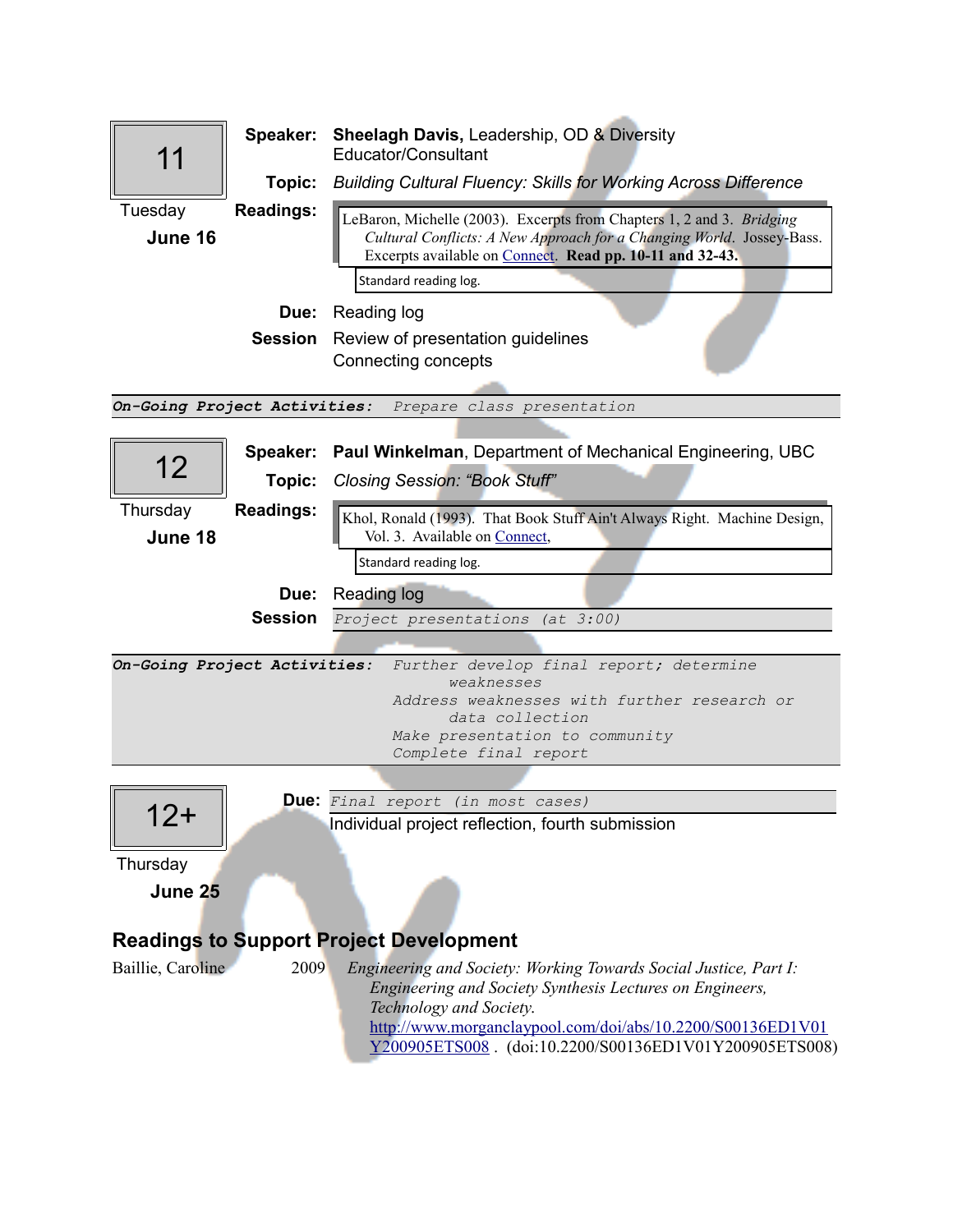|                              | Speaker:           | <b>Sheelagh Davis, Leadership, OD &amp; Diversity</b><br>Educator/Consultant                                                                                                                                                                                                    |
|------------------------------|--------------------|---------------------------------------------------------------------------------------------------------------------------------------------------------------------------------------------------------------------------------------------------------------------------------|
|                              | Topic:             | <b>Building Cultural Fluency: Skills for Working Across Difference</b>                                                                                                                                                                                                          |
| Tuesday<br>June 16           | <b>Readings:</b>   | LeBaron, Michelle (2003). Excerpts from Chapters 1, 2 and 3. Bridging<br>Cultural Conflicts: A New Approach for a Changing World. Jossey-Bass.<br>Excerpts available on Connect. Read pp. 10-11 and 32-43.<br>Standard reading log.                                             |
|                              |                    | <b>Due:</b> Reading log                                                                                                                                                                                                                                                         |
|                              |                    | <b>Session</b> Review of presentation guidelines<br>Connecting concepts                                                                                                                                                                                                         |
|                              |                    | On-Going Project Activities: Prepare class presentation                                                                                                                                                                                                                         |
| 12 <sub>2</sub>              | Speaker:<br>Topic: | Paul Winkelman, Department of Mechanical Engineering, UBC<br><b>Closing Session: "Book Stuff"</b>                                                                                                                                                                               |
| Thursday<br>June 18          | <b>Readings:</b>   | Khol, Ronald (1993). That Book Stuff Ain't Always Right. Machine Design,<br>Vol. 3. Available on Connect,<br>Standard reading log.                                                                                                                                              |
|                              | Due:               |                                                                                                                                                                                                                                                                                 |
|                              | <b>Session</b>     | <b>Reading log</b><br>Project presentations (at 3:00)                                                                                                                                                                                                                           |
|                              |                    |                                                                                                                                                                                                                                                                                 |
| On-Going Project Activities: |                    | Further develop final report; determine<br>weaknesses<br>Address weaknesses with further research or<br>data collection<br>Make presentation to community<br>Complete final report                                                                                              |
|                              |                    |                                                                                                                                                                                                                                                                                 |
| 12+<br>Thursday              |                    | <b>Due:</b> Final report (in most cases)<br>Individual project reflection, fourth submission                                                                                                                                                                                    |
| June 25                      |                    |                                                                                                                                                                                                                                                                                 |
|                              |                    | <b>Readings to Support Project Development</b>                                                                                                                                                                                                                                  |
| Baillie, Caroline            | 2009               | Engineering and Society: Working Towards Social Justice, Part I:<br>Engineering and Society Synthesis Lectures on Engineers,<br>Technology and Society.<br>http://www.morganclaypool.com/doi/abs/10.2200/S00136ED1V01<br>Y200905ETS008. (doi:10.2200/S00136ED1V01Y200905ETS008) |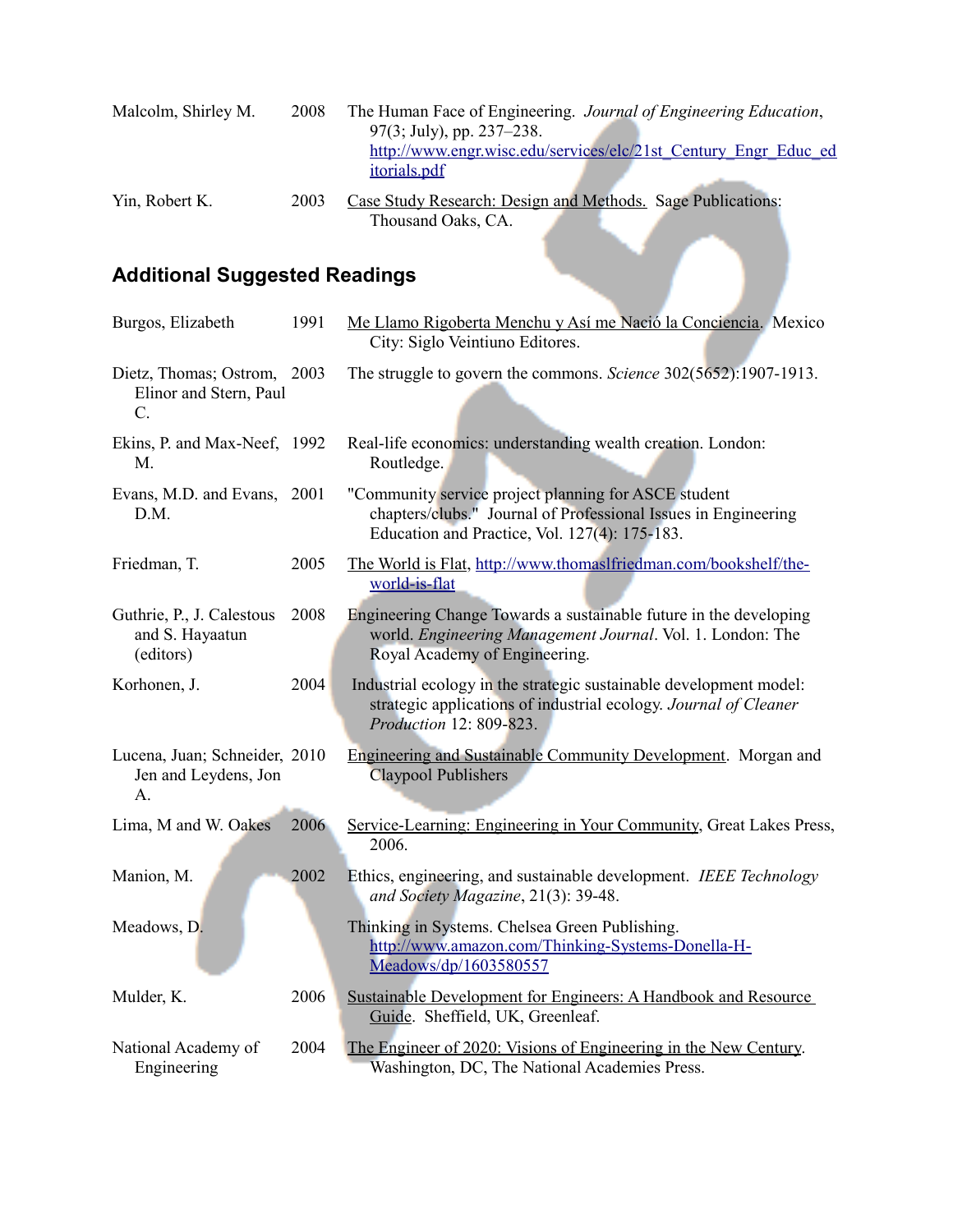| Malcolm, Shirley M. | 2008 | The Human Face of Engineering. Journal of Engineering Education,<br>$97(3; \text{July})$ , pp. 237–238. |
|---------------------|------|---------------------------------------------------------------------------------------------------------|
|                     |      | http://www.engr.wisc.edu/services/elc/21st Century Engr Educ ed                                         |
|                     |      | <i>itorials.pdf</i>                                                                                     |
| Yin, Robert K.      | 2003 | Case Study Research: Design and Methods. Sage Publications:                                             |
|                     |      | Thousand Oaks, CA.                                                                                      |

# **Additional Suggested Readings**

|                                                                |      | Thousand Oaks, CA.                                                                                                                                                      |  |
|----------------------------------------------------------------|------|-------------------------------------------------------------------------------------------------------------------------------------------------------------------------|--|
| <b>Additional Suggested Readings</b>                           |      |                                                                                                                                                                         |  |
| Burgos, Elizabeth                                              | 1991 | Me Llamo Rigoberta Menchu y Así me Nació la Conciencia. Mexico<br>City: Siglo Veintiuno Editores.                                                                       |  |
| Dietz, Thomas; Ostrom, 2003<br>Elinor and Stern, Paul<br>$C$ . |      | The struggle to govern the commons. Science 302(5652):1907-1913.                                                                                                        |  |
| Ekins, P. and Max-Neef, 1992<br>M.                             |      | Real-life economics: understanding wealth creation. London:<br>Routledge.                                                                                               |  |
| Evans, M.D. and Evans, 2001<br>D.M.                            |      | "Community service project planning for ASCE student<br>chapters/clubs." Journal of Professional Issues in Engineering<br>Education and Practice, Vol. 127(4): 175-183. |  |
| Friedman, T.                                                   | 2005 | The World is Flat, http://www.thomaslfriedman.com/bookshelf/the-<br>world-is-flat                                                                                       |  |
| Guthrie, P., J. Calestous<br>and S. Hayaatun<br>(editors)      | 2008 | Engineering Change Towards a sustainable future in the developing<br>world. Engineering Management Journal. Vol. 1. London: The<br>Royal Academy of Engineering.        |  |
| Korhonen, J.                                                   | 2004 | Industrial ecology in the strategic sustainable development model:<br>strategic applications of industrial ecology. Journal of Cleaner<br>Production 12: 809-823.       |  |
| Lucena, Juan; Schneider, 2010<br>Jen and Leydens, Jon<br>A.    |      | <b>Engineering and Sustainable Community Development.</b> Morgan and<br>Claypool Publishers                                                                             |  |
| Lima, M and W. Oakes                                           | 2006 | Service-Learning: Engineering in Your Community, Great Lakes Press,<br>2006.                                                                                            |  |
| Manion, M.                                                     | 2002 | Ethics, engineering, and sustainable development. IEEE Technology<br>and Society Magazine, 21(3): 39-48.                                                                |  |
| Meadows, D.                                                    |      | Thinking in Systems. Chelsea Green Publishing.<br>http://www.amazon.com/Thinking-Systems-Donella-H-<br>Meadows/dp/1603580557                                            |  |
| Mulder, K.                                                     | 2006 | <b>Sustainable Development for Engineers: A Handbook and Resource</b><br>Guide. Sheffield, UK, Greenleaf.                                                               |  |
| National Academy of<br>Engineering                             | 2004 | The Engineer of 2020: Visions of Engineering in the New Century.<br>Washington, DC, The National Academies Press.                                                       |  |